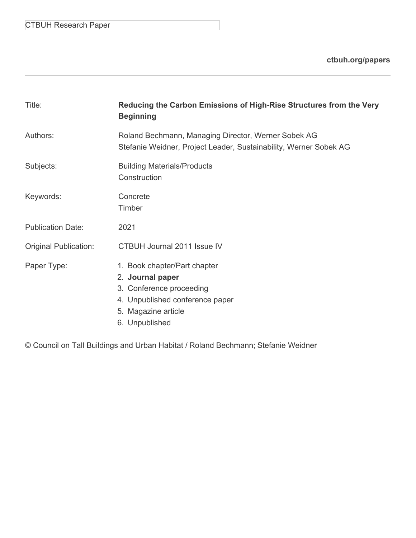# CTBUH Research Paper

**[ctbuh.org/papers](http://ctbuh.org/papers)**

| Title:                       | Reducing the Carbon Emissions of High-Rise Structures from the Very<br><b>Beginning</b>                                                                  |  |  |
|------------------------------|----------------------------------------------------------------------------------------------------------------------------------------------------------|--|--|
| Authors:                     | Roland Bechmann, Managing Director, Werner Sobek AG<br>Stefanie Weidner, Project Leader, Sustainability, Werner Sobek AG                                 |  |  |
| Subjects:                    | <b>Building Materials/Products</b><br>Construction                                                                                                       |  |  |
| Keywords:                    | Concrete<br>Timber                                                                                                                                       |  |  |
| <b>Publication Date:</b>     | 2021                                                                                                                                                     |  |  |
| <b>Original Publication:</b> | CTBUH Journal 2011 Issue IV                                                                                                                              |  |  |
| Paper Type:                  | 1. Book chapter/Part chapter<br>2. Journal paper<br>3. Conference proceeding<br>4. Unpublished conference paper<br>5. Magazine article<br>6. Unpublished |  |  |

© Council on Tall Buildings and Urban Habitat / Roland Bechmann; Stefanie Weidner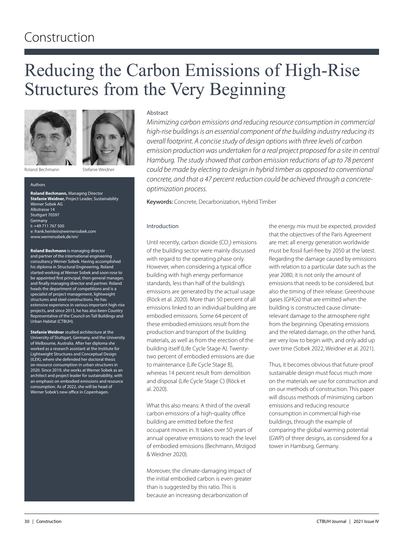# Construction

# Reducing the Carbon Emissions of High-Rise Structures from the Very Beginning





Roland Bechmann

Stefanie Weidner

#### Authors

**Roland Bechmann,** Managing Director **Stefanie Weidner,** Project Leader, Sustainability Werner Sobek AG Albstrasse 14 Stuttgart 70597 **Germany** t: +49 711 767 500 e: frank.heinlein@wernersobek.com www.wernersobek.de/en/

**Roland Bechmann** is managing director and partner of the international engineering consultancy Werner Sobek. Having accomplished his diploma in Structural Engineering, Roland started working at Werner Sobek and soon rose to be appointed first principal, then general manager, and finally managing director and partner. Roland heads the department of competitions and is a specialist of project management, lightweight structures and steel constructions. He has extensive experience in various important high-rise projects, and since 2013, he has also been Country Representative of the Council on Tall Buildings and Urban Habitat (CTBUH).

**Stefanie Weidner** studied architecture at the University of Stuttgart, Germany, and the University of Melbourne, Australia. After her diploma she worked as a research assistant at the Institute for Lightweight Structures and Conceptual Design (ILEK), where she defended her doctoral thesis on resource consumption in urban structures in 2020. Since 2019, she works at Werner Sobek as an architect and project leader for sustainability, with an emphasis on embodied emissions and resource consumption. As of 2022, she will be head of Werner Sobek's new office in Copenhagen.

#### Abstract

*Minimizing carbon emissions and reducing resource consumption in commercial high-rise buildings is an essential component of the building industry reducing its overall footprint. A concise study of design options with three levels of carbon emission production was undertaken for a real project proposed for a site in central Hamburg. The study showed that carbon emission reductions of up to 78 percent could be made by electing to design in hybrid timber as opposed to conventional concrete, and that a 47 percent reduction could be achieved through a concreteoptimization process.*

Keywords: Concrete, Decarbonization, Hybrid Timber

#### Introduction

Until recently, carbon dioxide (CO<sub>2</sub>) emissions of the building sector were mainly discussed with regard to the operating phase only. However, when considering a typical office building with high energy performance standards, less than half of the building's emissions are generated by the actual usage (Röck et al. 2020). More than 50 percent of all emissions linked to an individual building are embodied emissions. Some 64 percent of these embodied emissions result from the production and transport of the building materials, as well as from the erection of the building itself (Life Cycle Stage A). Twentytwo percent of embodied emissions are due to maintenance (Life Cycle Stage B), whereas 14 percent result from demolition and disposal (Life Cycle Stage C) (Röck et al. 2020).

What this also means: A third of the overall carbon emissions of a high-quality office building are emitted before the first occupant moves in. It takes over 50 years of annual operative emissions to reach the level of embodied emissions (Bechmann, Mrzigod & Weidner 2020).

Moreover, the climate-damaging impact of the initial embodied carbon is even greater than is suggested by this ratio. This is because an increasing decarbonization of

the energy mix must be expected, provided that the objectives of the Paris Agreement are met: all energy generation worldwide must be fossil fuel-free by 2050 at the latest. Regarding the damage caused by emissions with relation to a particular date such as the year 2080, it is not only the amount of emissions that needs to be considered, but also the timing of their release. Greenhouse gases (GHGs) that are emitted when the building is constructed cause climaterelevant damage to the atmosphere right from the beginning. Operating emissions and the related damage, on the other hand, are very low to begin with, and only add up over time (Sobek 2022, Weidner et al. 2021).

Thus, it becomes obvious that future-proof sustainable design must focus much more on the materials we use for construction and on our methods of construction. This paper will discuss methods of minimizing carbon emissions and reducing resource consumption in commercial high-rise buildings, through the example of comparing the global warming potential (GWP) of three designs, as considered for a tower in Hamburg, Germany.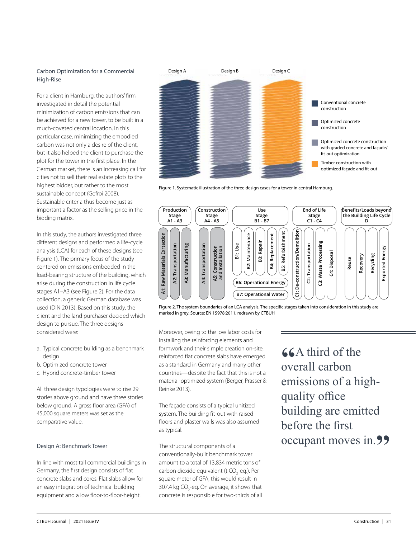## Carbon Optimization for a Commercial High-Rise

For a client in Hamburg, the authors' firm investigated in detail the potential minimization of carbon emissions that can be achieved for a new tower, to be built in a much-coveted central location. In this particular case, minimizing the embodied carbon was not only a desire of the client, but it also helped the client to purchase the plot for the tower in the first place. In the German market, there is an increasing call for cities not to sell their real estate plots to the highest bidder, but rather to the most sustainable concept (Gefroi 2008). Sustainable criteria thus become just as important a factor as the selling price in the bidding matrix.

In this study, the authors investigated three different designs and performed a life-cycle analysis (LCA) for each of these designs (see Figure 1). The primary focus of the study centered on emissions embedded in the load-bearing structure of the building, which arise during the construction in life cycle stages A1–A3 (see Figure 2). For the data collection, a generic German database was used (DIN 2013). Based on this study, the client and the land purchaser decided which design to pursue. The three designs considered were:

- a. Typical concrete building as a benchmark desian
- b. Optimized concrete tower
- c. Hybrid concrete-timber tower

All three design typologies were to rise 29 stories above ground and have three stories below ground. A gross floor area (GFA) of 45,000 square meters was set as the comparative value.

# Design A: Benchmark Tower

In line with most tall commercial buildings in Germany, the first design consists of flat concrete slabs and cores. Flat slabs allow for an easy integration of technical building equipment and a low floor-to-floor-height.



Figure 1. Systematic illustration of the three design cases for a tower in central Hamburg.



Figure 2. The system boundaries of an LCA analysis. The specific stages taken into consideration in this study are marked in grey. Source: EN 15978:2011, redrawn by CTBUH

Moreover, owing to the low labor costs for installing the reinforcing elements and formwork and their simple creation on-site, reinforced flat concrete slabs have emerged as a standard in Germany and many other countries—despite the fact that this is not a material-optimized system (Berger, Prasser & Reinke 2013).

The façade consists of a typical unitized system. The building fit-out with raised floors and plaster walls was also assumed as typical.

The structural components of a conventionally-built benchmark tower amount to a total of 13,834 metric tons of carbon dioxide equivalent (t CO<sub>2</sub>-eq.). Per square meter of GFA, this would result in 307.4 kg CO<sub>2</sub>-eq. On average, it shows that concrete is responsible for two-thirds of all

**"A third of the overall carbon"** emissions of a highquality office building are emitted before the first occupant moves in. **99**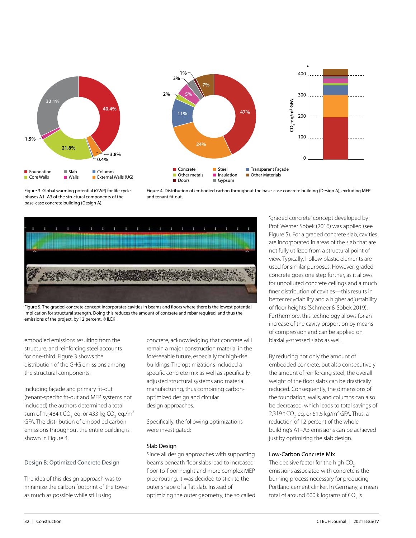



Figure 3. Global warming potential (GWP) for life cycle phases A1–A3 of the structural components of the base-case concrete building (Design A).





Figure 5. The graded-concrete concept incorporates cavities in beams and floors where there is the lowest potential implication for structural strength. Doing this reduces the amount of concrete and rebar required, and thus the emissions of the project, by 12 percent. © ILEK

embodied emissions resulting from the structure, and reinforcing steel accounts for one-third. Figure 3 shows the distribution of the GHG emissions among the structural components.

Including façade and primary fit-out (tenant-specific fit-out and MEP systems not included) the authors determined a total sum of 19,484 t CO<sub>2</sub>-eq. or 433 kg CO<sub>2</sub>-eq./m<sup>2</sup> GFA. The distribution of embodied carbon emissions throughout the entire building is shown in Figure 4.

#### Design B: Optimized Concrete Design

The idea of this design approach was to minimize the carbon footprint of the tower as much as possible while still using

concrete, acknowledging that concrete will remain a major construction material in the foreseeable future, especially for high-rise buildings. The optimizations included a specific concrete mix as well as specificallyadjusted structural systems and material manufacturing, thus combining carbonoptimized design and circular design approaches.

Specifically, the following optimizations were investigated:

# Slab Design

Since all design approaches with supporting beams beneath floor slabs lead to increased floor-to-floor height and more complex MEP pipe routing, it was decided to stick to the outer shape of a flat slab. Instead of optimizing the outer geometry, the so called

"graded concrete" concept developed by Prof. Werner Sobek (2016) was applied (see Figure 5). For a graded concrete slab, cavities are incorporated in areas of the slab that are not fully utilized from a structural point of view. Typically, hollow plastic elements are used for similar purposes. However, graded concrete goes one step further, as it allows for unpolluted concrete ceilings and a much finer distribution of cavities—this results in better recyclability and a higher adjustability of floor heights (Schmeer & Sobek 2019). Furthermore, this technology allows for an increase of the cavity proportion by means of compression and can be applied on biaxially-stressed slabs as well.

By reducing not only the amount of embedded concrete, but also consecutively the amount of reinforcing steel, the overall weight of the floor slabs can be drastically reduced. Consequently, the dimensions of the foundation, walls, and columns can also be decreased, which leads to total savings of 2,319 t CO<sub>2</sub>-eq. or 51.6 kg/m<sup>2</sup> GFA. Thus, a reduction of 12 percent of the whole building's A1–A3 emissions can be achieved just by optimizing the slab design.

# Low-Carbon Concrete Mix

The decisive factor for the high CO<sub>2</sub> emissions associated with concrete is the burning process necessary for producing Portland cement clinker. In Germany, a mean total of around 600 kilograms of CO<sub>2</sub> is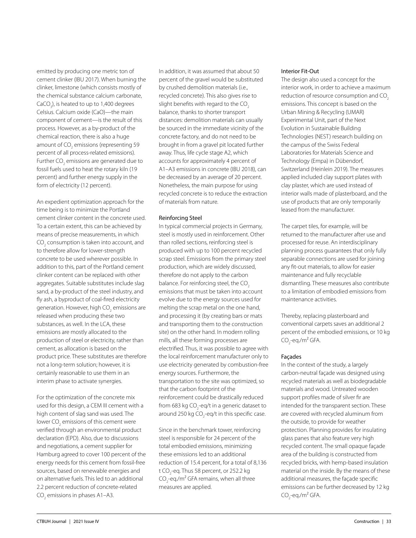emitted by producing one metric ton of cement clinker (IBU 2017). When burning the clinker, limestone (which consists mostly of the chemical substance calcium carbonate, CaCO<sub>3</sub>), is heated to up to 1,400 degrees Celsius. Calcium oxide (CaO)—the main component of cement—is the result of this process. However, as a by-product of the chemical reaction, there is also a huge amount of CO<sub>2</sub> emissions (representing 59 percent of all process-related emissions). Further CO<sub>2</sub> emissions are generated due to fossil fuels used to heat the rotary kiln (19 percent) and further energy supply in the form of electricity (12 percent).

An expedient optimization approach for the time being is to minimize the Portland cement clinker content in the concrete used. To a certain extent, this can be achieved by means of precise measurements, in which  $\mathrm{CO}_2$  consumption is taken into account, and to therefore allow for lower-strength concrete to be used wherever possible. In addition to this, part of the Portland cement clinker content can be replaced with other aggregates. Suitable substitutes include slag sand, a by-product of the steel industry, and fly ash, a byproduct of coal-fired electricity generation. However, high CO<sub>2</sub> emissions are released when producing these two substances, as well. In the LCA, these emissions are mostly allocated to the production of steel or electricity, rather than cement, as allocation is based on the product price. These substitutes are therefore not a long-term solution; however, it is certainly reasonable to use them in an interim phase to activate synergies.

For the optimization of the concrete mix used for this design, a CEM III cement with a high content of slag sand was used. The lower CO<sub>2</sub> emissions of this cement were verified through an environmental product declaration (EPD). Also, due to discussions and negotiations, a cement supplier for Hamburg agreed to cover 100 percent of the energy needs for this cement from fossil-free sources, based on renewable energies and on alternative fuels. This led to an additional 2.2 percent reduction of concrete-related  $\mathrm{CO}_2$  emissions in phases A1–A3.

In addition, it was assumed that about 50 percent of the gravel would be substituted by crushed demolition materials (i.e., recycled concrete). This also gives rise to slight benefits with regard to the CO<sub>2</sub> balance, thanks to shorter transport distances: demolition materials can usually be sourced in the immediate vicinity of the concrete factory, and do not need to be brought in from a gravel pit located further away. Thus, life cycle stage A2, which accounts for approximately 4 percent of A1–A3 emissions in concrete (IBU 2018), can be decreased by an average of 20 percent. Nonetheless, the main purpose for using recycled concrete is to reduce the extraction of materials from nature.

## Reinforcing Steel

In typical commercial projects in Germany, steel is mostly used in reinforcement. Other than rolled sections, reinforcing steel is produced with up to 100 percent recycled scrap steel. Emissions from the primary steel production, which are widely discussed, therefore do not apply to the carbon balance. For reinforcing steel, the CO<sub>2</sub> emissions that must be taken into account evolve due to the energy sources used for melting the scrap metal on the one hand, and processing it (by creating bars or mats and transporting them to the construction site) on the other hand. In modern rolling mills, all these forming processes are electrified. Thus, it was possible to agree with the local reinforcement manufacturer only to use electricity generated by combustion-free energy sources. Furthermore, the transportation to the site was optimized, so that the carbon footprint of the reinforcement could be drastically reduced from 683 kg CO<sub>2</sub>-eq/t in a generic dataset to around 250 kg CO<sub>2</sub>-eq/t in this specific case.

Since in the benchmark tower, reinforcing steel is responsible for 24 percent of the total embodied emissions, minimizing these emissions led to an additional reduction of 15.4 percent, for a total of 8,136 t CO<sub>2</sub>-eq. Thus 58 percent, or 252.2 kg CO<sub>2</sub>-eq./m<sup>2</sup> GFA remains, when all three measures are applied.

#### Interior Fit-Out

The design also used a concept for the interior work, in order to achieve a maximum reduction of resource consumption and CO<sub>2</sub> emissions. This concept is based on the Urban Mining & Recycling (UMAR) Experimental Unit, part of the Next Evolution in Sustainable Building Technologies (NEST) research building on the campus of the Swiss Federal Laboratories for Materials Science and Technology (Empa) in Dübendorf, Switzerland (Heinlein 2019). The measures applied included clay support plates with clay plaster, which are used instead of interior walls made of plasterboard, and the use of products that are only temporarily leased from the manufacturer.

The carpet tiles, for example, will be returned to the manufacturer after use and processed for reuse. An interdisciplinary planning process guarantees that only fully separable connections are used for joining any fit-out materials, to allow for easier maintenance and fully recyclable dismantling. These measures also contribute to a limitation of embodied emissions from maintenance activities.

Thereby, replacing plasterboard and conventional carpets saves an additional 2 percent of the embodied emissions, or 10 kg CO<sub>2</sub>-eq./m<sup>2</sup> GFA.

# Façades

In the context of the study, a largely carbon-neutral façade was designed using recycled materials as well as biodegradable materials and wood. Untreated wooden support profiles made of silver fir are intended for the transparent section. These are covered with recycled aluminum from the outside, to provide for weather protection. Planning provides for insulating glass panes that also feature very high recycled content. The small opaque façade area of the building is constructed from recycled bricks, with hemp-based insulation material on the inside. By the means of these additional measures, the façade specific emissions can be further decreased by 12 kg CO<sub>2</sub>-eq./m<sup>2</sup> GFA.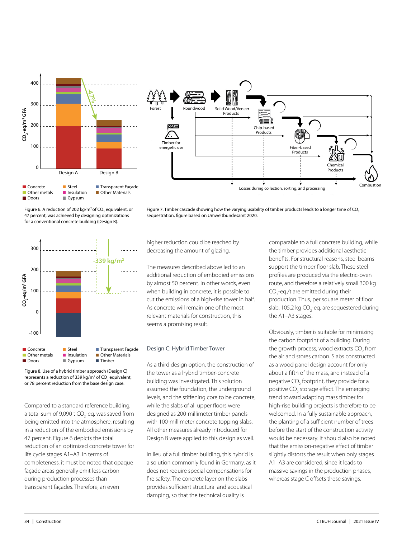



Figure 6. A reduction of 202 kg/m $^{\rm 2}$ of CO $_{\rm 2}$  equivalent, or 47 percent, was achieved by designing optimizations for a conventional concrete building (Design B).





Figure 8. Use of a hybrid timber approach (Design C) represents a reduction of 339 kg/m<sup>2</sup> of CO<sub>2</sub> equivalent, or 78 percent reduction from the base design case.

Compared to a standard reference building, a total sum of 9,090 t CO<sub>2</sub>-eq. was saved from being emitted into the atmosphere, resulting in a reduction of the embodied emissions by 47 percent. Figure 6 depicts the total reduction of an optimized concrete tower for life cycle stages A1–A3. In terms of completeness, it must be noted that opaque façade areas generally emit less carbon during production processes than transparent façades. Therefore, an even

higher reduction could be reached by decreasing the amount of glazing.

The measures described above led to an additional reduction of embodied emissions by almost 50 percent. In other words, even when building in concrete, it is possible to cut the emissions of a high-rise tower in half. As concrete will remain one of the most relevant materials for construction, this seems a promising result.

#### Design C: Hybrid Timber Tower

As a third design option, the construction of the tower as a hybrid timber-concrete building was investigated. This solution assumed the foundation, the underground levels, and the stiffening core to be concrete, while the slabs of all upper floors were designed as 200-millimeter timber panels with 100-millimeter concrete topping slabs. All other measures already introduced for Design B were applied to this design as well.

In lieu of a full timber building, this hybrid is a solution commonly found in Germany, as it does not require special compensations for fire safety. The concrete layer on the slabs provides sufficient structural and acoustical damping, so that the technical quality is

comparable to a full concrete building, while the timber provides additional aesthetic benefits. For structural reasons, steel beams support the timber floor slab. These steel profiles are produced via the electric-oven route, and therefore a relatively small 300 kg CO<sub>2</sub>-eq./t are emitted during their production. Thus, per square meter of floor slab, 105.2 kg CO<sub>2</sub>-eq. are sequestered during the A1–A3 stages.

Obviously, timber is suitable for minimizing the carbon footprint of a building. During the growth process, wood extracts CO<sub>2</sub> from the air and stores carbon. Slabs constructed as a wood panel design account for only about a fifth of the mass, and instead of a negative CO<sub>2</sub> footprint, they provide for a positive CO<sub>2</sub> storage effect. The emerging trend toward adapting mass timber for high-rise building projects is therefore to be welcomed. In a fully sustainable approach, the planting of a sufficient number of trees before the start of the construction activity would be necessary. It should also be noted that the emission-negative effect of timber slightly distorts the result when only stages A1–A3 are considered, since it leads to massive savings in the production phases, whereas stage C offsets these savings.